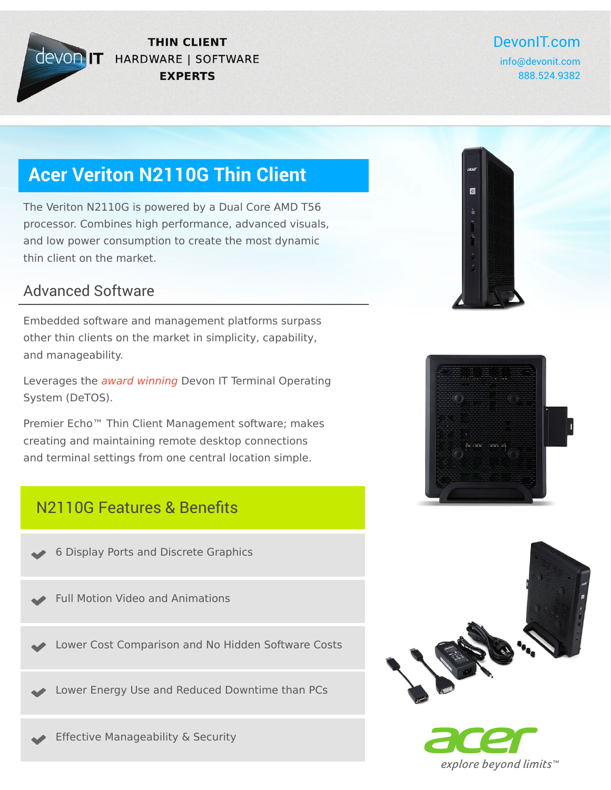

#### **THIN CLIENT CEVOR IT HARDWARE | SOFTWARE EXPERTS**

### DevonIT.com

info@devonit.com 888.524.9382

# **Acer Veriton N2110G Thin Client**

The Veriton N2110G is powered by a Dual Core AMD T56 processor. Combines high performance, advanced visuals, and low power consumption to create the most dynamic thin client on the market.

#### Advanced Software

Embedded software and management platforms surpass other thin clients on the market in simplicity, capability, and manageability.

Leverages the award winning Devon IT Terminal Operating System (DeTOS).

Premier Echo™ Thin Client Management software; makes creating and maintaining remote desktop connections and terminal settings from one central location simple.

### N2110G Features & Benefits

6 Display Ports and Discrete Graphics

Full Motion Video and Animations

Lower Cost Comparison and No Hidden Software Costs

Lower Energy Use and Reduced Downtime than PCs